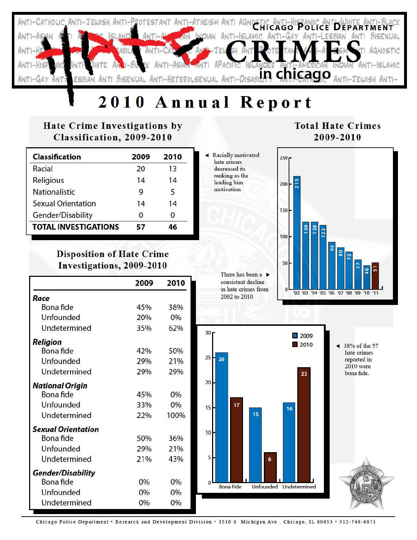

# **2010 Annual Report**

## **Hate Crime Investigations by Classification, 2009-2010**

| <b>Classification</b>       | 2009 | 2010 |
|-----------------------------|------|------|
| Racial                      | 20   | 13   |
| <b>Religious</b>            | 14   | 14   |
| <b>Nationalistic</b>        | 9    | 5    |
| <b>Sexual Orientation</b>   | 14   | 14   |
| Gender/Disability           | 0    | n    |
| <b>TOTAL INVESTIGATIONS</b> | 57   |      |

## **Disposition of Hate Crime Investigations, 2009-2010**

|                           | 2009  | 2010 |
|---------------------------|-------|------|
| Race                      |       |      |
| <b>Bona</b> fide          | 45%   | 38%  |
| <b>Unfounded</b>          | 20%   | 0%   |
| Undetermined              | 35%   | 62%  |
| Religion                  |       |      |
| <b>Bona</b> fide          | 42%   | 50%  |
| <b>Unfounded</b>          | 29%   | 21%  |
| Undetermined              | 29%   | 29%  |
| <b>National Origin</b>    |       |      |
| <b>Bona fide</b>          | 45%   | 0%   |
| <b>Unfounded</b>          | 33%   | 0%   |
| Undetermined              | 22%   | 100% |
| <b>Sexual Orientation</b> |       |      |
| <b>Bona</b> fide          | 50%   | 36%  |
| Unfounded                 | 29%   | 21%  |
| Undetermined              | 21%   | 43%  |
| <b>Gender/Disability</b>  |       |      |
| <b>Bona</b> fide          | $0\%$ | 0%   |
| <b>Unfounded</b>          | $0\%$ | 0%   |
| Undetermined              | 0%    | 0%   |

#### **"4** Racially motivated hate crimes decreased its ranking as the leading bias

motivation



**Total Hate Crimes 2009-2010** 

There has been a  $\blacktriangleright$ consistant decline in hate crimes from 2002 to 2010



hate crimes reported in 2010 were bona fide.

Chicago Police Department · Research and Development Division · 3510 S Michigan Ave, Chicago, IL 60653 · 312-746-6071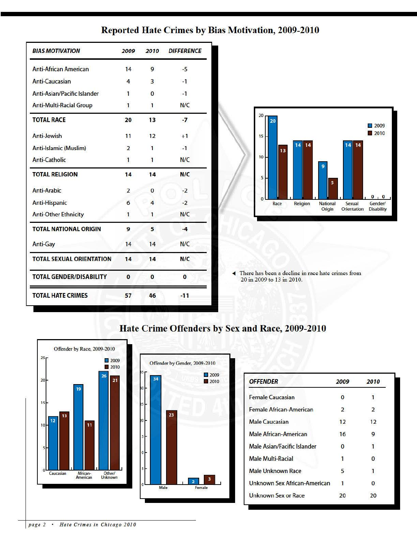|  | <b>Reported Hate Crimes by Bias Motivation, 2009-2010</b> |  |  |  |
|--|-----------------------------------------------------------|--|--|--|
|--|-----------------------------------------------------------|--|--|--|

| <b>BIAS MOTIVATION</b>          | 2009           | 2010           | <b>DIFFERENCE</b> |
|---------------------------------|----------------|----------------|-------------------|
| <b>Anti-African American</b>    | 14             | 9              | $-5$              |
| Anti-Caucasian                  | 4              | $\overline{3}$ | $-1$              |
| Anti-Asian/Pacific Islander     | 1              | $\mathbf{0}$   | $-1$              |
| <b>Anti-Multi-Racial Group</b>  | $\mathbf{1}$   | 1              | N/C               |
| <b>TOTAL RACE</b>               | 20             | 13             | $-7$              |
| Anti-Jewish                     | 11             | 12             | $+1$              |
| Anti-Islamic (Muslim)           | $\overline{2}$ | 1              | $-1$              |
| <b>Anti-Catholic</b>            | $\mathbf{1}$   | 1              | N/C               |
| <b>TOTAL RELIGION</b>           | 14             | 14             | N/C               |
| Anti-Arabic                     | 2              | $\mathbf{0}$   | $-2$              |
| <b>Anti-Hispanic</b>            | 6              | 4              | $-2$              |
| <b>Anti-Other Ethnicity</b>     | $\mathbf{1}$   | $\mathbf{1}$   | N/C               |
| <b>TOTAL NATIONAL ORIGIN</b>    | 9              | 5              | $-4$              |
| <b>Anti-Gay</b>                 | 14             | 14             | N/C               |
| <b>TOTAL SEXUAL ORIENTATION</b> | 14             | 14             | N/C               |
| <b>TOTAL GENDER/DISABILITY</b>  | $\bf{0}$       | $\bf{0}$       | $\bf{0}$          |
| <b>TOTAL HATE CRIMES</b>        | 57             | 46             | $-11$             |



There has been a decline in race hate crimes from 20 in 2009 to 13 in 2010.



## Hate Crime Offenders by Sex and Race, 2009-2010

| <b>OFFENDER</b>                | 2009           | 2010           |  |
|--------------------------------|----------------|----------------|--|
| <b>Female Caucasian</b>        | 0              |                |  |
| <b>Female African-American</b> | $\overline{2}$ | $\overline{2}$ |  |
| <b>Male Caucasian</b>          | 12             | 12             |  |
| <b>Male African-American</b>   | 16             | 9              |  |
| Male Asian/Facific Islander    | $\bf{0}$       | 1              |  |
| <b>Male Multi-Racial</b>       |                | 0              |  |
| Male Unknown Race              | 5              | 1              |  |
| Unknown Sex African-American   | 1              | 0              |  |
| <b>Unknown Sex or Race</b>     |                | 20             |  |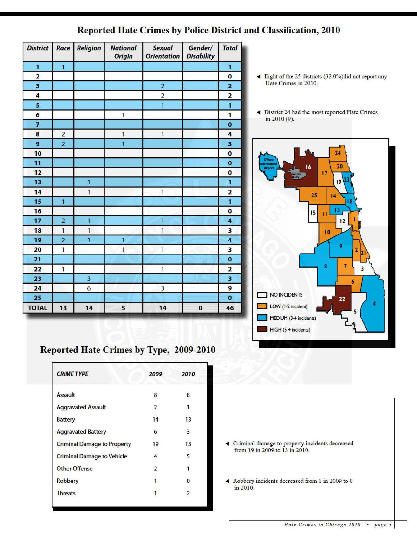| <b>District</b> | Race           | <b>Religion</b> | <b>National</b><br><b>Origin</b> | <b>Sexual</b><br><b>Orientation</b> | Gender/<br><b>Disability</b> | <b>Total</b>            |
|-----------------|----------------|-----------------|----------------------------------|-------------------------------------|------------------------------|-------------------------|
| $\mathbf{1}$    | $\mathbf{1}$   |                 |                                  |                                     |                              | 1                       |
| 2               |                |                 |                                  |                                     |                              | $\bf{0}$                |
| 3               |                |                 |                                  | $\overline{2}$                      |                              | $\overline{\mathbf{z}}$ |
| 4               |                |                 |                                  | $\overline{2}$                      |                              | $\overline{\mathbf{c}}$ |
| 5               |                |                 |                                  | $\overline{1}$                      |                              | $\mathbf{1}$            |
| 6               |                |                 | $\overline{\mathbf{1}}$          |                                     |                              | 1                       |
| $\overline{7}$  |                |                 |                                  |                                     |                              | $\bf{0}$                |
| 8               | $\overline{2}$ |                 | $\mathbf{1}$                     | $\mathbf{1}$                        |                              | 4                       |
| 9               | $\overline{2}$ |                 | $\overline{1}$                   |                                     |                              | 3                       |
| 10              |                |                 |                                  |                                     |                              | $\bf{0}$                |
| 11              |                |                 |                                  |                                     |                              | $\bullet$               |
| 12              |                |                 |                                  |                                     |                              | $\bf{0}$                |
| 13              |                | $\overline{1}$  |                                  |                                     |                              | $\mathbf{1}$            |
| 14              |                | $\overline{1}$  |                                  | $\mathbf{1}$                        |                              | $\overline{2}$          |
| 15              | $\overline{1}$ |                 |                                  |                                     |                              | $\overline{1}$          |
| 16              |                |                 |                                  |                                     |                              | $\overline{\mathbf{o}}$ |
| 17              | $\overline{2}$ | $\overline{1}$  |                                  | $\mathbf{1}$                        |                              | 4                       |
| 18              | $\mathbf{1}$   | $\mathbf{1}$    |                                  | $\mathbf{1}$                        |                              | 3                       |
| 19              | $\overline{2}$ | 1               | $\overline{1}$                   |                                     |                              | $\overline{\mathbf{4}}$ |
| 20              | $\overline{1}$ |                 | $\overline{1}$                   | $\mathbf{1}$                        |                              | 3                       |
| 21              |                |                 |                                  |                                     |                              | $\mathbf 0$             |
| 22              | $\mathbf{1}$   |                 |                                  | 1                                   |                              | $\overline{2}$          |
| 23              |                | 3               |                                  |                                     |                              | 3                       |
| 24              |                | $\overline{6}$  |                                  | $\overline{\mathbf{3}}$             |                              | 9                       |
| 25              |                |                 |                                  |                                     |                              | $\mathbf 0$             |
| <b>TOTAL</b>    | 13             | 14              | 5                                | 14                                  | $\mathbf 0$                  | 46                      |

### Reported Hate Crimes by Police District and Classification, 2010

- ◆ Eight of the 25 districts (32.0%)did not report any Hate Crimes in 2010.
- $\blacktriangleleft$  District 24 had the most reported Hate Crimes in 2010 (9).



## Reported Hate Crimes by Type, 2009-2010

| <b>CRIME TYPE</b>                  | 2009           | 2010         |
|------------------------------------|----------------|--------------|
| <b>Assault</b>                     | 8              | 8            |
| <b>Aggravated Assault</b>          | $\overline{2}$ | $\mathbf{1}$ |
| <b>Battery</b>                     | 14             | 13           |
| <b>Aggravated Battery</b>          | 6              | 3            |
| <b>Criminal Damage to Property</b> | 19             | 13           |
| <b>Criminal Damage to Vehicle</b>  | 4              | 5            |
| <b>Other Offense</b>               | $\overline{2}$ | 1            |
| <b>Robbery</b>                     |                | $\Omega$     |
| <b>Threats</b>                     |                | 2            |

- .,. Criminal damage to property incidents decreased from 19 in 2009 to 13 in 2010.
- .,. Robbe1y incidents decreased from 1 in 2009 to 0 in 2010.